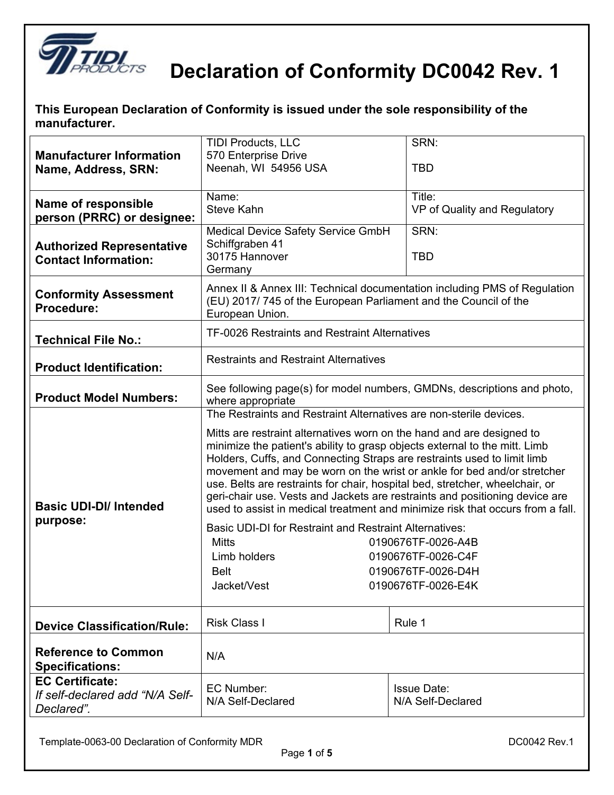

| This European Declaration of Conformity is issued under the sole responsibility of the |  |
|----------------------------------------------------------------------------------------|--|
| manufacturer.                                                                          |  |

| <b>Manufacturer Information</b><br>Name, Address, SRN:                  | SRN:<br><b>TIDI Products, LLC</b><br>570 Enterprise Drive<br>Neenah, WI 54956 USA<br>TBD                                                                                                                                                                                                                                                                                                                                                                                                                                                                                                                                                                                                                                                                                      |                                        |  |
|-------------------------------------------------------------------------|-------------------------------------------------------------------------------------------------------------------------------------------------------------------------------------------------------------------------------------------------------------------------------------------------------------------------------------------------------------------------------------------------------------------------------------------------------------------------------------------------------------------------------------------------------------------------------------------------------------------------------------------------------------------------------------------------------------------------------------------------------------------------------|----------------------------------------|--|
| <b>Name of responsible</b><br>person (PRRC) or designee:                | Name:<br><b>Steve Kahn</b>                                                                                                                                                                                                                                                                                                                                                                                                                                                                                                                                                                                                                                                                                                                                                    | Title:<br>VP of Quality and Regulatory |  |
| <b>Authorized Representative</b><br><b>Contact Information:</b>         | SRN:<br>Medical Device Safety Service GmbH<br>Schiffgraben 41<br>30175 Hannover<br><b>TBD</b><br>Germany                                                                                                                                                                                                                                                                                                                                                                                                                                                                                                                                                                                                                                                                      |                                        |  |
| <b>Conformity Assessment</b><br>Procedure:                              | Annex II & Annex III: Technical documentation including PMS of Regulation<br>(EU) 2017/745 of the European Parliament and the Council of the<br>European Union.                                                                                                                                                                                                                                                                                                                                                                                                                                                                                                                                                                                                               |                                        |  |
| <b>Technical File No.:</b>                                              | <b>TF-0026 Restraints and Restraint Alternatives</b>                                                                                                                                                                                                                                                                                                                                                                                                                                                                                                                                                                                                                                                                                                                          |                                        |  |
| <b>Product Identification:</b>                                          | <b>Restraints and Restraint Alternatives</b>                                                                                                                                                                                                                                                                                                                                                                                                                                                                                                                                                                                                                                                                                                                                  |                                        |  |
| <b>Product Model Numbers:</b>                                           | See following page(s) for model numbers, GMDNs, descriptions and photo,<br>where appropriate                                                                                                                                                                                                                                                                                                                                                                                                                                                                                                                                                                                                                                                                                  |                                        |  |
| <b>Basic UDI-DI/ Intended</b><br>purpose:                               | The Restraints and Restraint Alternatives are non-sterile devices.<br>Mitts are restraint alternatives worn on the hand and are designed to<br>minimize the patient's ability to grasp objects external to the mitt. Limb<br>Holders, Cuffs, and Connecting Straps are restraints used to limit limb<br>movement and may be worn on the wrist or ankle for bed and/or stretcher<br>use. Belts are restraints for chair, hospital bed, stretcher, wheelchair, or<br>geri-chair use. Vests and Jackets are restraints and positioning device are<br>used to assist in medical treatment and minimize risk that occurs from a fall.<br><b>Basic UDI-DI for Restraint and Restraint Alternatives:</b><br><b>Mitts</b><br>0190676TF-0026-A4B<br>Limb holders<br>0190676TF-0026-C4F |                                        |  |
|                                                                         | 0190676TF-0026-D4H<br><b>Belt</b><br>0190676TF-0026-E4K<br>Jacket/Vest                                                                                                                                                                                                                                                                                                                                                                                                                                                                                                                                                                                                                                                                                                        |                                        |  |
| <b>Device Classification/Rule:</b>                                      | <b>Risk Class I</b>                                                                                                                                                                                                                                                                                                                                                                                                                                                                                                                                                                                                                                                                                                                                                           | Rule 1                                 |  |
| <b>Reference to Common</b><br><b>Specifications:</b>                    | N/A                                                                                                                                                                                                                                                                                                                                                                                                                                                                                                                                                                                                                                                                                                                                                                           |                                        |  |
| <b>EC Certificate:</b><br>If self-declared add "N/A Self-<br>Declared". | EC Number:<br><b>Issue Date:</b><br>N/A Self-Declared<br>N/A Self-Declared                                                                                                                                                                                                                                                                                                                                                                                                                                                                                                                                                                                                                                                                                                    |                                        |  |

Page **1** of **5**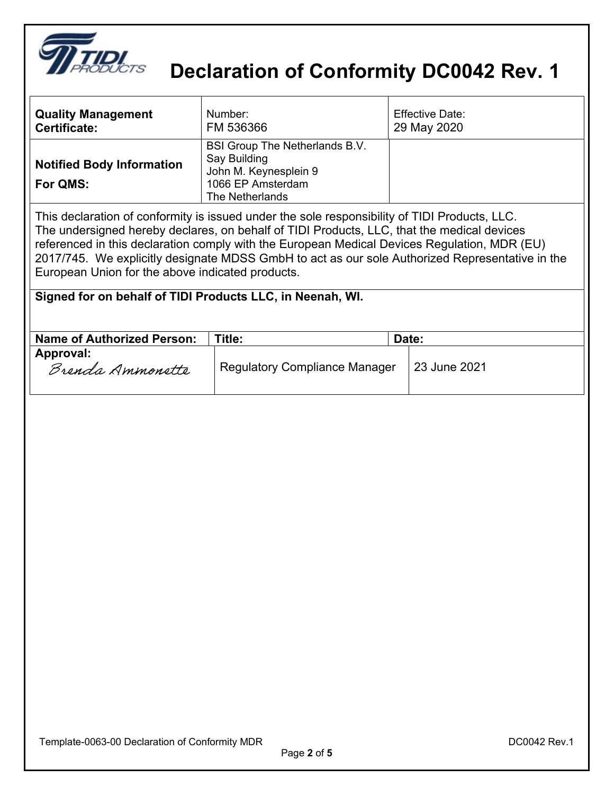

| <b>Quality Management</b><br><b>Certificate:</b> | Number:<br>FM 536366                                                                                                                                                                        | <b>Effective Date:</b><br>29 May 2020 |
|--------------------------------------------------|---------------------------------------------------------------------------------------------------------------------------------------------------------------------------------------------|---------------------------------------|
| <b>Notified Body Information</b><br>For QMS:     | <b>BSI Group The Netherlands B.V.</b><br>Say Building<br>John M. Keynesplein 9<br>1066 EP Amsterdam<br>The Netherlands                                                                      |                                       |
|                                                  | This declaration of conformity is issued under the sole responsibility of TIDI Products, LLC.<br>The undersigned hereby declares, on behalf of TIDI Products, LLC, that the medical devices |                                       |

The undersigned hereby declares, on behalf of TIDI Products, LLC, that the medical devices referenced in this declaration comply with the European Medical Devices Regulation, MDR (EU) 2017/745. We explicitly designate MDSS GmbH to act as our sole Authorized Representative in the European Union for the above indicated products.

| Signed for on behalf of TIDI Products LLC, in Neenah, WI. |  |  |  |
|-----------------------------------------------------------|--|--|--|
|-----------------------------------------------------------|--|--|--|

| <b>Name of Authorized Person:</b> | Title:                               | Date:        |
|-----------------------------------|--------------------------------------|--------------|
| Approval:<br>Brenda Ammonette     | <b>Regulatory Compliance Manager</b> | 23 June 2021 |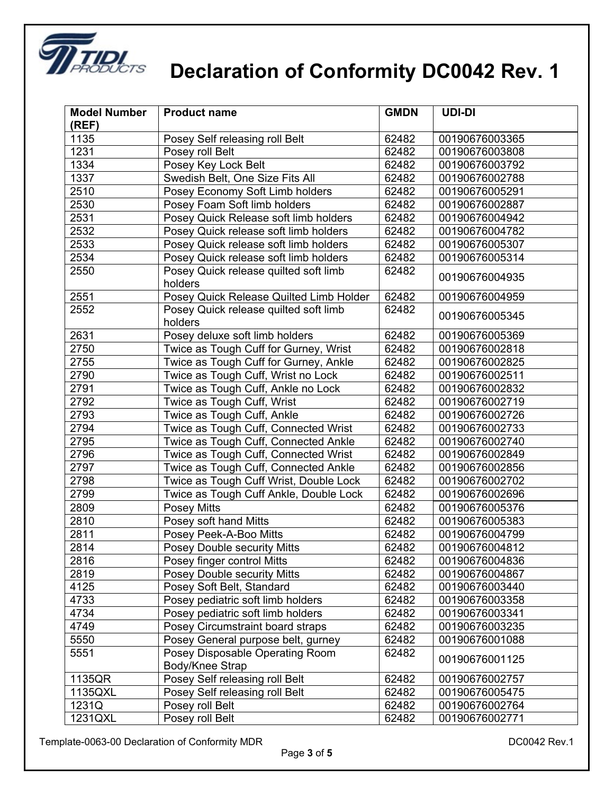

| <b>Model Number</b> | <b>Product name</b>                                | <b>GMDN</b> | UDI-DI         |
|---------------------|----------------------------------------------------|-------------|----------------|
| (REF)               |                                                    |             |                |
| 1135                | Posey Self releasing roll Belt                     | 62482       | 00190676003365 |
| 1231                | Posey roll Belt                                    | 62482       | 00190676003808 |
| 1334                | Posey Key Lock Belt                                | 62482       | 00190676003792 |
| 1337                | Swedish Belt, One Size Fits All                    | 62482       | 00190676002788 |
| 2510                | Posey Economy Soft Limb holders                    | 62482       | 00190676005291 |
| 2530                | Posey Foam Soft limb holders                       | 62482       | 00190676002887 |
| 2531                | Posey Quick Release soft limb holders              | 62482       | 00190676004942 |
| 2532                | Posey Quick release soft limb holders              | 62482       | 00190676004782 |
| 2533                | Posey Quick release soft limb holders              | 62482       | 00190676005307 |
| 2534                | Posey Quick release soft limb holders              | 62482       | 00190676005314 |
| 2550                | Posey Quick release quilted soft limb<br>holders   | 62482       | 00190676004935 |
| 2551                | Posey Quick Release Quilted Limb Holder            | 62482       | 00190676004959 |
| 2552                | Posey Quick release quilted soft limb<br>holders   | 62482       | 00190676005345 |
| 2631                | Posey deluxe soft limb holders                     | 62482       | 00190676005369 |
| 2750                | Twice as Tough Cuff for Gurney, Wrist              | 62482       | 00190676002818 |
| 2755                | Twice as Tough Cuff for Gurney, Ankle              | 62482       | 00190676002825 |
| 2790                | Twice as Tough Cuff, Wrist no Lock                 | 62482       | 00190676002511 |
| 2791                | Twice as Tough Cuff, Ankle no Lock                 | 62482       | 00190676002832 |
| 2792                | Twice as Tough Cuff, Wrist                         | 62482       | 00190676002719 |
| 2793                | Twice as Tough Cuff, Ankle                         | 62482       | 00190676002726 |
| 2794                | Twice as Tough Cuff, Connected Wrist               | 62482       | 00190676002733 |
| 2795                | Twice as Tough Cuff, Connected Ankle               | 62482       | 00190676002740 |
| 2796                | Twice as Tough Cuff, Connected Wrist               | 62482       | 00190676002849 |
| 2797                | Twice as Tough Cuff, Connected Ankle               | 62482       | 00190676002856 |
| 2798                | Twice as Tough Cuff Wrist, Double Lock             | 62482       | 00190676002702 |
| 2799                | Twice as Tough Cuff Ankle, Double Lock             | 62482       | 00190676002696 |
| 2809                | Posey Mitts                                        | 62482       | 00190676005376 |
| 2810                | Posey soft hand Mitts                              | 62482       | 00190676005383 |
| 2811                | Posey Peek-A-Boo Mitts                             | 62482       | 00190676004799 |
| 2814                | <b>Posey Double security Mitts</b>                 | 62482       | 00190676004812 |
| 2816                | Posey finger control Mitts                         | 62482       | 00190676004836 |
| 2819                | Posey Double security Mitts                        | 62482       | 00190676004867 |
| 4125                | Posey Soft Belt, Standard                          | 62482       | 00190676003440 |
| 4733                | Posey pediatric soft limb holders                  | 62482       | 00190676003358 |
| 4734                | Posey pediatric soft limb holders                  | 62482       | 00190676003341 |
| 4749                | Posey Circumstraint board straps                   | 62482       | 00190676003235 |
| 5550                | Posey General purpose belt, gurney                 | 62482       | 00190676001088 |
| 5551                | Posey Disposable Operating Room<br>Body/Knee Strap | 62482       | 00190676001125 |
| 1135QR              | Posey Self releasing roll Belt                     | 62482       | 00190676002757 |
| 1135QXL             | Posey Self releasing roll Belt                     | 62482       | 00190676005475 |
| 1231Q               | Posey roll Belt                                    | 62482       | 00190676002764 |
| 1231QXL             | Posey roll Belt                                    | 62482       | 00190676002771 |

Template-0063-00 Declaration of Conformity MDR deviation of the state of the DC0042 Rev.1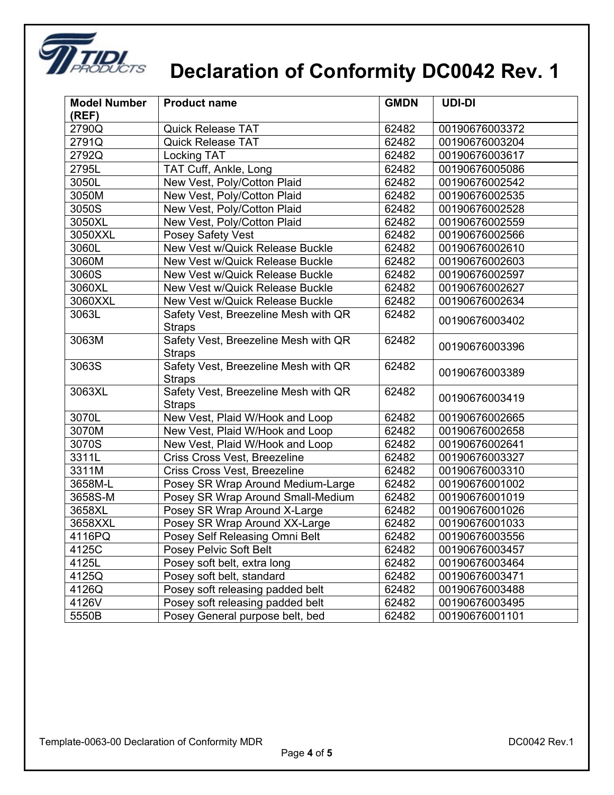

| <b>Model Number</b><br>(REF) | <b>Product name</b>                                   | <b>GMDN</b> | <b>UDI-DI</b>  |
|------------------------------|-------------------------------------------------------|-------------|----------------|
| 2790Q                        | <b>Quick Release TAT</b>                              | 62482       | 00190676003372 |
| 2791Q                        | <b>Quick Release TAT</b>                              | 62482       | 00190676003204 |
| 2792Q                        | <b>Locking TAT</b>                                    | 62482       | 00190676003617 |
| 2795L                        | TAT Cuff, Ankle, Long                                 | 62482       | 00190676005086 |
| 3050L                        | New Vest, Poly/Cotton Plaid                           | 62482       | 00190676002542 |
| 3050M                        | New Vest, Poly/Cotton Plaid                           | 62482       | 00190676002535 |
| 3050S                        | New Vest, Poly/Cotton Plaid                           | 62482       | 00190676002528 |
| 3050XL                       | New Vest, Poly/Cotton Plaid                           | 62482       | 00190676002559 |
| 3050XXL                      | Posey Safety Vest                                     | 62482       | 00190676002566 |
| 3060L                        | New Vest w/Quick Release Buckle                       | 62482       | 00190676002610 |
| 3060M                        | New Vest w/Quick Release Buckle                       | 62482       | 00190676002603 |
| 3060S                        | New Vest w/Quick Release Buckle                       | 62482       | 00190676002597 |
| 3060XL                       | New Vest w/Quick Release Buckle                       | 62482       | 00190676002627 |
| 3060XXL                      | New Vest w/Quick Release Buckle                       | 62482       | 00190676002634 |
| 3063L                        | Safety Vest, Breezeline Mesh with QR<br><b>Straps</b> | 62482       | 00190676003402 |
| 3063M                        | Safety Vest, Breezeline Mesh with QR<br><b>Straps</b> | 62482       | 00190676003396 |
| 3063S                        | Safety Vest, Breezeline Mesh with QR<br><b>Straps</b> | 62482       | 00190676003389 |
| 3063XL                       | Safety Vest, Breezeline Mesh with QR<br><b>Straps</b> | 62482       | 00190676003419 |
| 3070L                        | New Vest, Plaid W/Hook and Loop                       | 62482       | 00190676002665 |
| 3070M                        | New Vest, Plaid W/Hook and Loop                       | 62482       | 00190676002658 |
| 3070S                        | New Vest, Plaid W/Hook and Loop                       | 62482       | 00190676002641 |
| 3311L                        | Criss Cross Vest, Breezeline                          | 62482       | 00190676003327 |
| 3311M                        | Criss Cross Vest, Breezeline                          | 62482       | 00190676003310 |
| 3658M-L                      | Posey SR Wrap Around Medium-Large                     | 62482       | 00190676001002 |
| 3658S-M                      | Posey SR Wrap Around Small-Medium                     | 62482       | 00190676001019 |
| 3658XL                       | Posey SR Wrap Around X-Large                          | 62482       | 00190676001026 |
| 3658XXL                      | Posey SR Wrap Around XX-Large                         | 62482       | 00190676001033 |
| 4116PQ                       | Posey Self Releasing Omni Belt                        | 62482       | 00190676003556 |
| 4125C                        | Posey Pelvic Soft Belt                                | 62482       | 00190676003457 |
| 4125L                        | Posey soft belt, extra long                           | 62482       | 00190676003464 |
| 4125Q                        | Posey soft belt, standard                             | 62482       | 00190676003471 |
| 4126Q                        | Posey soft releasing padded belt                      | 62482       | 00190676003488 |
| 4126V                        | Posey soft releasing padded belt                      | 62482       | 00190676003495 |
| 5550B                        | Posey General purpose belt, bed                       | 62482       | 00190676001101 |